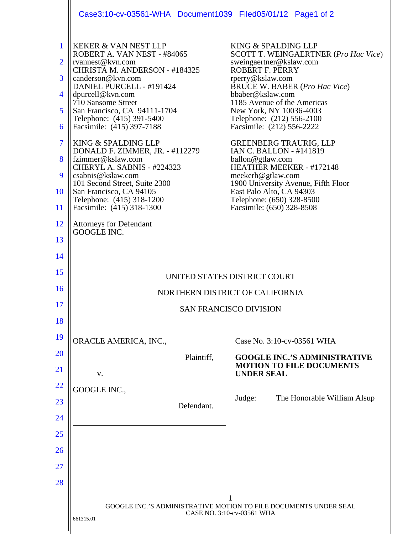|                                                                                 | Case3:10-cv-03561-WHA Document1039 Filed05/01/12 Page1 of 2                                                                                                                                                                                                                                                                                                                                                                                                                                                                                                      |                                                                                                                                                                                                                                                                                                                                                                                                                                                                                                                                                                                           |
|---------------------------------------------------------------------------------|------------------------------------------------------------------------------------------------------------------------------------------------------------------------------------------------------------------------------------------------------------------------------------------------------------------------------------------------------------------------------------------------------------------------------------------------------------------------------------------------------------------------------------------------------------------|-------------------------------------------------------------------------------------------------------------------------------------------------------------------------------------------------------------------------------------------------------------------------------------------------------------------------------------------------------------------------------------------------------------------------------------------------------------------------------------------------------------------------------------------------------------------------------------------|
| 1<br>$\overline{2}$<br>3<br>4<br>5<br>6<br>$\overline{7}$<br>8<br>9<br>10<br>11 | <b>KEKER &amp; VAN NEST LLP</b><br>ROBERT A. VAN NEST - #84065<br>rvannest@kvn.com<br>CHRISTA M. ANDERSON - #184325<br>canderson@kvn.com<br>DANIEL PURCELL - #191424<br>dpurcell@kvn.com<br>710 Sansome Street<br>San Francisco, CA 94111-1704<br>Telephone: (415) 391-5400<br>Facsimile: (415) 397-7188<br>KING & SPALDING LLP<br>DONALD F. ZIMMER, JR. - #112279<br>fzimmer@kslaw.com<br>CHERYL A. SABNIS - #224323<br>csabnis@kslaw.com<br>101 Second Street, Suite 2300<br>San Francisco, CA 94105<br>Telephone: (415) 318-1200<br>Facsimile: (415) 318-1300 | KING & SPALDING LLP<br><b>SCOTT T. WEINGAERTNER (Pro Hac Vice)</b><br>sweingaertner@kslaw.com<br><b>ROBERT F. PERRY</b><br>rperry@kslaw.com<br><b>BRUCE W. BABER (Pro Hac Vice)</b><br>bbaber@kslaw.com<br>1185 Avenue of the Americas<br>New York, NY 10036-4003<br>Telephone: (212) 556-2100<br>Facsimile: (212) 556-2222<br><b>GREENBERG TRAURIG, LLP</b><br>IAN C. BALLON - #141819<br>ballon@gtlaw.com<br>HEATHER MEEKER - #172148<br>meekerh@gtlaw.com<br>1900 University Avenue, Fifth Floor<br>East Palo Alto, CA 94303<br>Telephone: (650) 328-8500<br>Facsimile: (650) 328-8508 |
| 12                                                                              | <b>Attorneys for Defendant</b><br>GOOGLE INC.                                                                                                                                                                                                                                                                                                                                                                                                                                                                                                                    |                                                                                                                                                                                                                                                                                                                                                                                                                                                                                                                                                                                           |
| 13                                                                              |                                                                                                                                                                                                                                                                                                                                                                                                                                                                                                                                                                  |                                                                                                                                                                                                                                                                                                                                                                                                                                                                                                                                                                                           |
| 14                                                                              |                                                                                                                                                                                                                                                                                                                                                                                                                                                                                                                                                                  |                                                                                                                                                                                                                                                                                                                                                                                                                                                                                                                                                                                           |
| 15                                                                              | UNITED STATES DISTRICT COURT                                                                                                                                                                                                                                                                                                                                                                                                                                                                                                                                     |                                                                                                                                                                                                                                                                                                                                                                                                                                                                                                                                                                                           |
| 16                                                                              | NORTHERN DISTRICT OF CALIFORNIA                                                                                                                                                                                                                                                                                                                                                                                                                                                                                                                                  |                                                                                                                                                                                                                                                                                                                                                                                                                                                                                                                                                                                           |
| 17                                                                              | <b>SAN FRANCISCO DIVISION</b>                                                                                                                                                                                                                                                                                                                                                                                                                                                                                                                                    |                                                                                                                                                                                                                                                                                                                                                                                                                                                                                                                                                                                           |
| 18                                                                              |                                                                                                                                                                                                                                                                                                                                                                                                                                                                                                                                                                  |                                                                                                                                                                                                                                                                                                                                                                                                                                                                                                                                                                                           |
| 19                                                                              | ORACLE AMERICA, INC.,                                                                                                                                                                                                                                                                                                                                                                                                                                                                                                                                            | Case No. 3:10-cv-03561 WHA                                                                                                                                                                                                                                                                                                                                                                                                                                                                                                                                                                |
| <b>20</b>                                                                       | Plaintiff,                                                                                                                                                                                                                                                                                                                                                                                                                                                                                                                                                       | <b>GOOGLE INC.'S ADMINISTRATIVE</b>                                                                                                                                                                                                                                                                                                                                                                                                                                                                                                                                                       |
| <u>21</u>                                                                       | V.                                                                                                                                                                                                                                                                                                                                                                                                                                                                                                                                                               | <b>MOTION TO FILE DOCUMENTS</b><br><b>UNDER SEAL</b>                                                                                                                                                                                                                                                                                                                                                                                                                                                                                                                                      |
| <u>22</u>                                                                       | GOOGLE INC.,                                                                                                                                                                                                                                                                                                                                                                                                                                                                                                                                                     |                                                                                                                                                                                                                                                                                                                                                                                                                                                                                                                                                                                           |
| 23                                                                              | Defendant.                                                                                                                                                                                                                                                                                                                                                                                                                                                                                                                                                       | Judge:<br>The Honorable William Alsup                                                                                                                                                                                                                                                                                                                                                                                                                                                                                                                                                     |
| 24                                                                              |                                                                                                                                                                                                                                                                                                                                                                                                                                                                                                                                                                  |                                                                                                                                                                                                                                                                                                                                                                                                                                                                                                                                                                                           |
| 25                                                                              |                                                                                                                                                                                                                                                                                                                                                                                                                                                                                                                                                                  |                                                                                                                                                                                                                                                                                                                                                                                                                                                                                                                                                                                           |
| 26                                                                              |                                                                                                                                                                                                                                                                                                                                                                                                                                                                                                                                                                  |                                                                                                                                                                                                                                                                                                                                                                                                                                                                                                                                                                                           |
| <u>27</u>                                                                       |                                                                                                                                                                                                                                                                                                                                                                                                                                                                                                                                                                  |                                                                                                                                                                                                                                                                                                                                                                                                                                                                                                                                                                                           |
| 28                                                                              |                                                                                                                                                                                                                                                                                                                                                                                                                                                                                                                                                                  |                                                                                                                                                                                                                                                                                                                                                                                                                                                                                                                                                                                           |
|                                                                                 |                                                                                                                                                                                                                                                                                                                                                                                                                                                                                                                                                                  |                                                                                                                                                                                                                                                                                                                                                                                                                                                                                                                                                                                           |
|                                                                                 | GOOGLE INC.'S ADMINISTRATIVE MOTION TO FILE DOCUMENTS UNDER SEAL<br>CASE NO. 3:10-cv-03561 WHA                                                                                                                                                                                                                                                                                                                                                                                                                                                                   |                                                                                                                                                                                                                                                                                                                                                                                                                                                                                                                                                                                           |
|                                                                                 | 661315.01                                                                                                                                                                                                                                                                                                                                                                                                                                                                                                                                                        |                                                                                                                                                                                                                                                                                                                                                                                                                                                                                                                                                                                           |